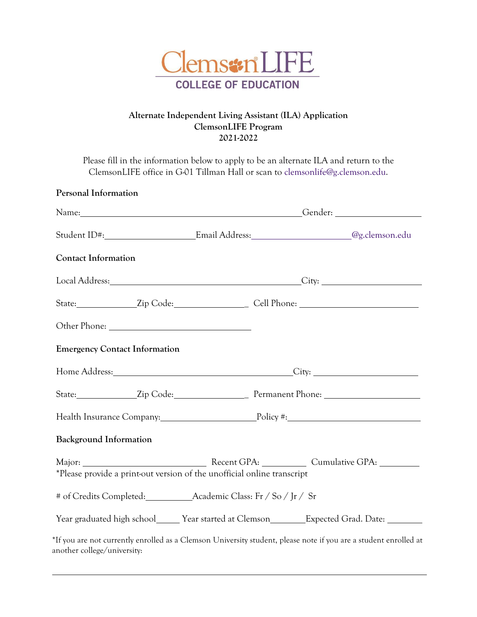

## **Alternate Independent Living Assistant (ILA) Application ClemsonLIFE Program 2021-2022**

Please fill in the information below to apply to be an alternate ILA and return to the ClemsonLIFE office in G-01 Tillman Hall or scan to clemsonlife@g.clemson.edu.

|                                                                         |  | Student ID#:___________________________Email Address:__________________________@g.clemson.edu        |  |
|-------------------------------------------------------------------------|--|------------------------------------------------------------------------------------------------------|--|
| <b>Contact Information</b>                                              |  |                                                                                                      |  |
|                                                                         |  |                                                                                                      |  |
|                                                                         |  | State: _________________Zip Code: __________________________Cell Phone: ____________________________ |  |
|                                                                         |  |                                                                                                      |  |
| <b>Emergency Contact Information</b>                                    |  |                                                                                                      |  |
|                                                                         |  | Home Address: City: City:                                                                            |  |
|                                                                         |  |                                                                                                      |  |
|                                                                         |  | Health Insurance Company: Policy #: Policy #:                                                        |  |
| <b>Background Information</b>                                           |  |                                                                                                      |  |
| *Please provide a print-out version of the unofficial online transcript |  |                                                                                                      |  |
|                                                                         |  |                                                                                                      |  |
|                                                                         |  | Year graduated high school_______ Year started at Clemson__________Expected Grad. Date: ___________  |  |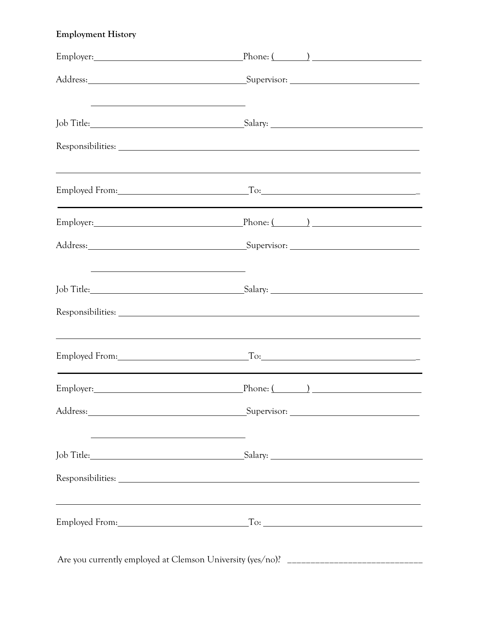## **Employment History**

|                                                     | Employer: Phone: (2002)                                                          |  |
|-----------------------------------------------------|----------------------------------------------------------------------------------|--|
|                                                     |                                                                                  |  |
|                                                     |                                                                                  |  |
|                                                     |                                                                                  |  |
|                                                     | Employed From: To: To: To:                                                       |  |
|                                                     | Employer: Phone: (2002)                                                          |  |
|                                                     |                                                                                  |  |
|                                                     |                                                                                  |  |
|                                                     | Responsibilities: Nesponsibilities:                                              |  |
|                                                     | Employed From: To: To: To:                                                       |  |
|                                                     | Employer: Phone: (2002)                                                          |  |
|                                                     |                                                                                  |  |
| <u> 1989 - Johann Barbara, martxa alemaniar arg</u> | Job Title: Salary: Salary:                                                       |  |
|                                                     |                                                                                  |  |
|                                                     | ,我们也不会有什么。""我们的人,我们也不会有什么?""我们的人,我们也不会有什么?""我们的人,我们也不会有什么?""我们的人,我们也不会有什么?""我们的人 |  |
|                                                     |                                                                                  |  |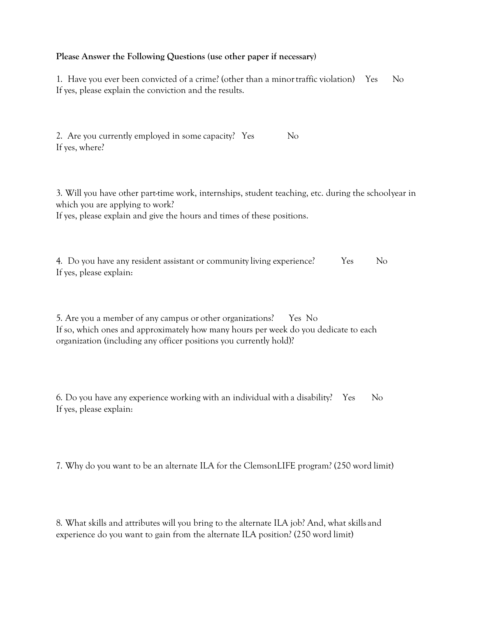## **Please Answer the Following Questions (use other paper if necessary)**

1. Have you ever been convicted of a crime? (other than a minor traffic violation) Yes No If yes, please explain the conviction and the results.

2. Are you currently employed in some capacity? Yes No If yes, where?

3. Will you have other part-time work, internships, student teaching, etc. during the school year in which you are applying to work?

If yes, please explain and give the hours and times of these positions.

4. Do you have any resident assistant or community living experience? Yes No If yes, please explain:

5. Are you a member of any campus or other organizations? Yes No If so, which ones and approximately how many hours per week do you dedicate to each organization (including any officer positions you currently hold)?

6. Do you have any experience working with an individual with a disability? Yes No If yes, please explain:

7. Why do you want to be an alternate ILA for the ClemsonLIFE program? (250 word limit)

8. What skills and attributes will you bring to the alternate ILA job? And, what skills and experience do you want to gain from the alternate ILA position? (250 word limit)